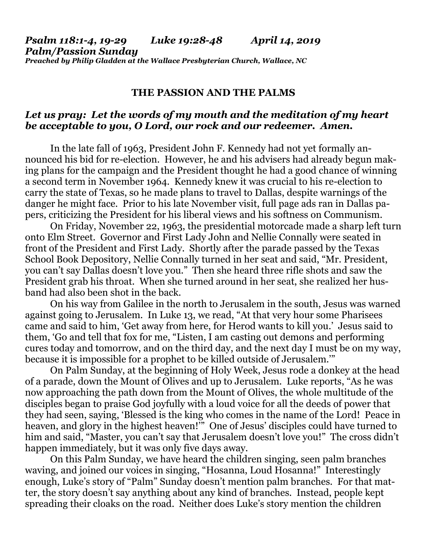*Psalm 118:1-4, 19-29 Luke 19:28-48 April 14, 2019 Palm/Passion Sunday Preached by Philip Gladden at the Wallace Presbyterian Church, Wallace, NC*

## **THE PASSION AND THE PALMS**

## *Let us pray: Let the words of my mouth and the meditation of my heart be acceptable to you, O Lord, our rock and our redeemer. Amen.*

In the late fall of 1963, President John F. Kennedy had not yet formally announced his bid for re-election. However, he and his advisers had already begun making plans for the campaign and the President thought he had a good chance of winning a second term in November 1964. Kennedy knew it was crucial to his re-election to carry the state of Texas, so he made plans to travel to Dallas, despite warnings of the danger he might face. Prior to his late November visit, full page ads ran in Dallas papers, criticizing the President for his liberal views and his softness on Communism.

On Friday, November 22, 1963, the presidential motorcade made a sharp left turn onto Elm Street. Governor and First Lady John and Nellie Connally were seated in front of the President and First Lady. Shortly after the parade passed by the Texas School Book Depository, Nellie Connally turned in her seat and said, "Mr. President, you can't say Dallas doesn't love you." Then she heard three rifle shots and saw the President grab his throat. When she turned around in her seat, she realized her husband had also been shot in the back.

On his way from Galilee in the north to Jerusalem in the south, Jesus was warned against going to Jerusalem. In Luke 13, we read, "At that very hour some Pharisees came and said to him, 'Get away from here, for Herod wants to kill you.' Jesus said to them, 'Go and tell that fox for me, "Listen, I am casting out demons and performing cures today and tomorrow, and on the third day, and the next day I must be on my way, because it is impossible for a prophet to be killed outside of Jerusalem.'"

On Palm Sunday, at the beginning of Holy Week, Jesus rode a donkey at the head of a parade, down the Mount of Olives and up to Jerusalem. Luke reports, "As he was now approaching the path down from the Mount of Olives, the whole multitude of the disciples began to praise God joyfully with a loud voice for all the deeds of power that they had seen, saying, 'Blessed is the king who comes in the name of the Lord! Peace in heaven, and glory in the highest heaven!" One of Jesus' disciples could have turned to him and said, "Master, you can't say that Jerusalem doesn't love you!" The cross didn't happen immediately, but it was only five days away.

On this Palm Sunday, we have heard the children singing, seen palm branches waving, and joined our voices in singing, "Hosanna, Loud Hosanna!" Interestingly enough, Luke's story of "Palm" Sunday doesn't mention palm branches. For that matter, the story doesn't say anything about any kind of branches. Instead, people kept spreading their cloaks on the road. Neither does Luke's story mention the children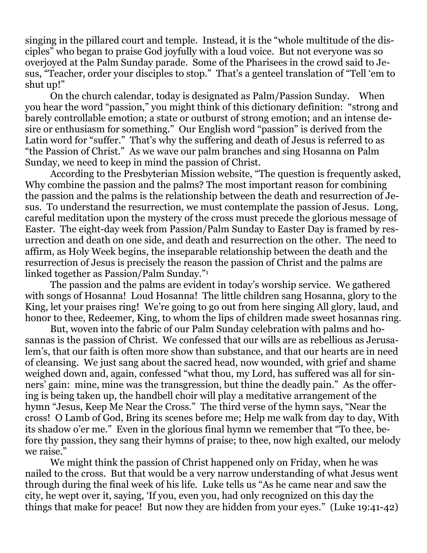singing in the pillared court and temple. Instead, it is the "whole multitude of the disciples" who began to praise God joyfully with a loud voice. But not everyone was so overjoyed at the Palm Sunday parade. Some of the Pharisees in the crowd said to Jesus, "Teacher, order your disciples to stop." That's a genteel translation of "Tell 'em to shut up!"

On the church calendar, today is designated as Palm/Passion Sunday. When you hear the word "passion," you might think of this dictionary definition: "strong and barely controllable emotion; a state or outburst of strong emotion; and an intense desire or enthusiasm for something." Our English word "passion" is derived from the Latin word for "suffer." That's why the suffering and death of Jesus is referred to as "the Passion of Christ." As we wave our palm branches and sing Hosanna on Palm Sunday, we need to keep in mind the passion of Christ.

According to the Presbyterian Mission website, "The question is frequently asked, Why combine the passion and the palms? The most important reason for combining the passion and the palms is the relationship between the death and resurrection of Jesus. To understand the resurrection, we must contemplate the passion of Jesus. Long, careful meditation upon the mystery of the cross must precede the glorious message of Easter. The eight-day week from Passion/Palm Sunday to Easter Day is framed by resurrection and death on one side, and death and resurrection on the other. The need to affirm, as Holy Week begins, the inseparable relationship between the death and the resurrection of Jesus is precisely the reason the passion of Christ and the palms are linked together as Passion/Palm Sunday."<sup>1</sup>

The passion and the palms are evident in today's worship service. We gathered with songs of Hosanna! Loud Hosanna! The little children sang Hosanna, glory to the King, let your praises ring! We're going to go out from here singing All glory, laud, and honor to thee, Redeemer, King, to whom the lips of children made sweet hosannas ring.

But, woven into the fabric of our Palm Sunday celebration with palms and hosannas is the passion of Christ. We confessed that our wills are as rebellious as Jerusalem's, that our faith is often more show than substance, and that our hearts are in need of cleansing. We just sang about the sacred head, now wounded, with grief and shame weighed down and, again, confessed "what thou, my Lord, has suffered was all for sinners' gain: mine, mine was the transgression, but thine the deadly pain." As the offering is being taken up, the handbell choir will play a meditative arrangement of the hymn "Jesus, Keep Me Near the Cross." The third verse of the hymn says, "Near the cross! O Lamb of God, Bring its scenes before me; Help me walk from day to day, With its shadow o'er me." Even in the glorious final hymn we remember that "To thee, before thy passion, they sang their hymns of praise; to thee, now high exalted, our melody we raise."

We might think the passion of Christ happened only on Friday, when he was nailed to the cross. But that would be a very narrow understanding of what Jesus went through during the final week of his life. Luke tells us "As he came near and saw the city, he wept over it, saying, 'If you, even you, had only recognized on this day the things that make for peace! But now they are hidden from your eyes." (Luke 19:41-42)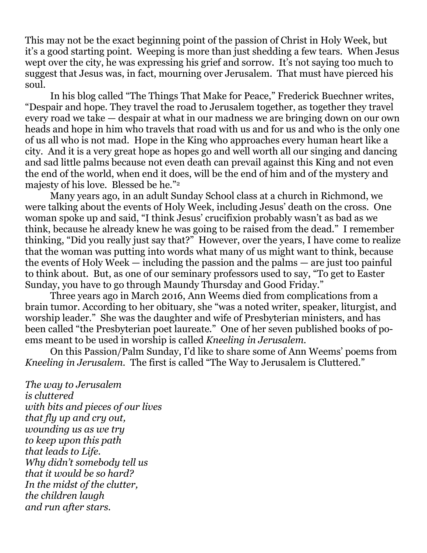This may not be the exact beginning point of the passion of Christ in Holy Week, but it's a good starting point. Weeping is more than just shedding a few tears. When Jesus wept over the city, he was expressing his grief and sorrow. It's not saying too much to suggest that Jesus was, in fact, mourning over Jerusalem. That must have pierced his soul.

In his blog called "The Things That Make for Peace," Frederick Buechner writes, "Despair and hope. They travel the road to Jerusalem together, as together they travel every road we take — despair at what in our madness we are bringing down on our own heads and hope in him who travels that road with us and for us and who is the only one of us all who is not mad. Hope in the King who approaches every human heart like a city. And it is a very great hope as hopes go and well worth all our singing and dancing and sad little palms because not even death can prevail against this King and not even the end of the world, when end it does, will be the end of him and of the mystery and majesty of his love. Blessed be he."<sup>2</sup>

Many years ago, in an adult Sunday School class at a church in Richmond, we were talking about the events of Holy Week, including Jesus' death on the cross. One woman spoke up and said, "I think Jesus' crucifixion probably wasn't as bad as we think, because he already knew he was going to be raised from the dead." I remember thinking, "Did you really just say that?" However, over the years, I have come to realize that the woman was putting into words what many of us might want to think, because the events of Holy Week — including the passion and the palms — are just too painful to think about. But, as one of our seminary professors used to say, "To get to Easter Sunday, you have to go through Maundy Thursday and Good Friday."

Three years ago in March 2016, Ann Weems died from complications from a brain tumor. According to her obituary, she "was a noted writer, speaker, liturgist, and worship leader." She was the daughter and wife of Presbyterian ministers, and has been called "the Presbyterian poet laureate." One of her seven published books of poems meant to be used in worship is called *Kneeling in Jerusalem.* 

On this Passion/Palm Sunday, I'd like to share some of Ann Weems' poems from *Kneeling in Jerusalem.* The first is called "The Way to Jerusalem is Cluttered."

*The way to Jerusalem is cluttered with bits and pieces of our lives that fly up and cry out, wounding us as we try to keep upon this path that leads to Life. Why didn't somebody tell us that it would be so hard? In the midst of the clutter, the children laugh and run after stars.*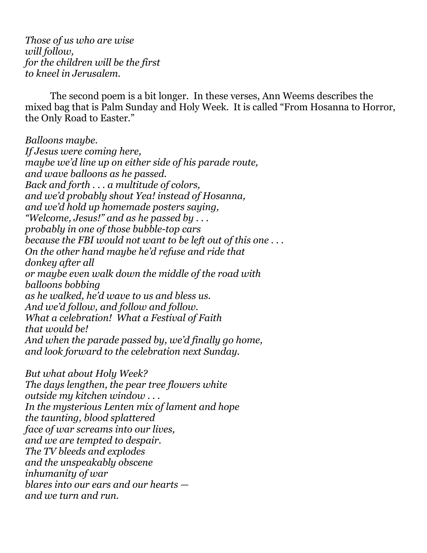*Those of us who are wise will follow, for the children will be the first to kneel in Jerusalem.*

The second poem is a bit longer. In these verses, Ann Weems describes the mixed bag that is Palm Sunday and Holy Week. It is called "From Hosanna to Horror, the Only Road to Easter."

*Balloons maybe. If Jesus were coming here, maybe we'd line up on either side of his parade route, and wave balloons as he passed. Back and forth . . . a multitude of colors, and we'd probably shout Yea! instead of Hosanna, and we'd hold up homemade posters saying, "Welcome, Jesus!" and as he passed by . . . probably in one of those bubble-top cars because the FBI would not want to be left out of this one . . . On the other hand maybe he'd refuse and ride that donkey after all or maybe even walk down the middle of the road with balloons bobbing as he walked, he'd wave to us and bless us. And we'd follow, and follow and follow. What a celebration! What a Festival of Faith that would be! And when the parade passed by, we'd finally go home, and look forward to the celebration next Sunday.*

*But what about Holy Week? The days lengthen, the pear tree flowers white outside my kitchen window . . . In the mysterious Lenten mix of lament and hope the taunting, blood splattered face of war screams into our lives, and we are tempted to despair. The TV bleeds and explodes and the unspeakably obscene inhumanity of war blares into our ears and our hearts and we turn and run.*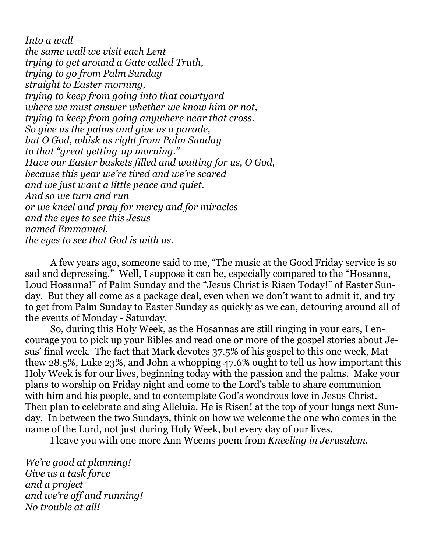*Into a wall the same wall we visit each Lent trying to get around a Gate called Truth, trying to go from Palm Sunday straight to Easter morning, trying to keep from going into that courtyard where we must answer whether we know him or not, trying to keep from going anywhere near that cross. So give us the palms and give us a parade, but O God, whisk us right from Palm Sunday to that "great getting-up morning." Have our Easter baskets filled and waiting for us, O God, because this year we're tired and we're scared and we just want a little peace and quiet. And so we turn and run or we kneel and pray for mercy and for miracles and the eyes to see this Jesus named Emmanuel, the eyes to see that God is with us.*

A few years ago, someone said to me, "The music at the Good Friday service is so sad and depressing." Well, I suppose it can be, especially compared to the "Hosanna, Loud Hosanna!" of Palm Sunday and the "Jesus Christ is Risen Today!" of Easter Sunday. But they all come as a package deal, even when we don't want to admit it, and try to get from Palm Sunday to Easter Sunday as quickly as we can, detouring around all of the events of Monday - Saturday.

So, during this Holy Week, as the Hosannas are still ringing in your ears, I encourage you to pick up your Bibles and read one or more of the gospel stories about Jesus' final week. The fact that Mark devotes 37.5% of his gospel to this one week, Matthew 28.5%, Luke 23%, and John a whopping 47.6% ought to tell us how important this Holy Week is for our lives, beginning today with the passion and the palms. Make your plans to worship on Friday night and come to the Lord's table to share communion with him and his people, and to contemplate God's wondrous love in Jesus Christ. Then plan to celebrate and sing Alleluia, He is Risen! at the top of your lungs next Sunday. In between the two Sundays, think on how we welcome the one who comes in the name of the Lord, not just during Holy Week, but every day of our lives.

I leave you with one more Ann Weems poem from *Kneeling in Jerusalem*.

*We're good at planning! Give us a task force and a project and we're off and running! No trouble at all!*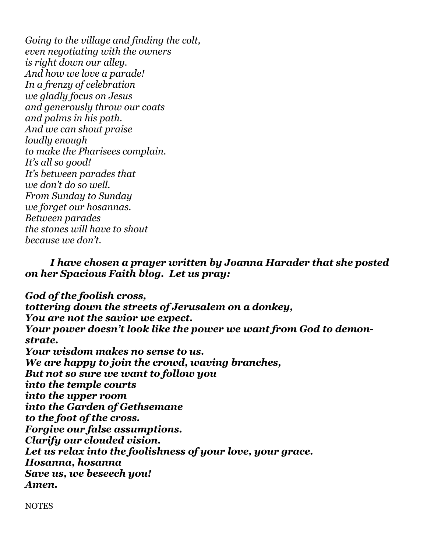*Going to the village and finding the colt, even negotiating with the owners is right down our alley. And how we love a parade! In a frenzy of celebration we gladly focus on Jesus and generously throw our coats and palms in his path. And we can shout praise loudly enough to make the Pharisees complain. It's all so good! It's between parades that we don't do so well. From Sunday to Sunday we forget our hosannas. Between parades the stones will have to shout because we don't.*

## *I have chosen a prayer written by Joanna Harader that she posted on her Spacious Faith blog. Let us pray:*

*God of the foolish cross, tottering down the streets of Jerusalem on a donkey, You are not the savior we expect. Your power doesn't look like the power we want from God to demonstrate. Your wisdom makes no sense to us. We are happy to join the crowd, waving branches, But not so sure we want to follow you into the temple courts into the upper room into the Garden of Gethsemane to the foot of the cross. Forgive our false assumptions. Clarify our clouded vision. Let us relax into the foolishness of your love, your grace. Hosanna, hosanna Save us, we beseech you! Amen.*

**NOTES**